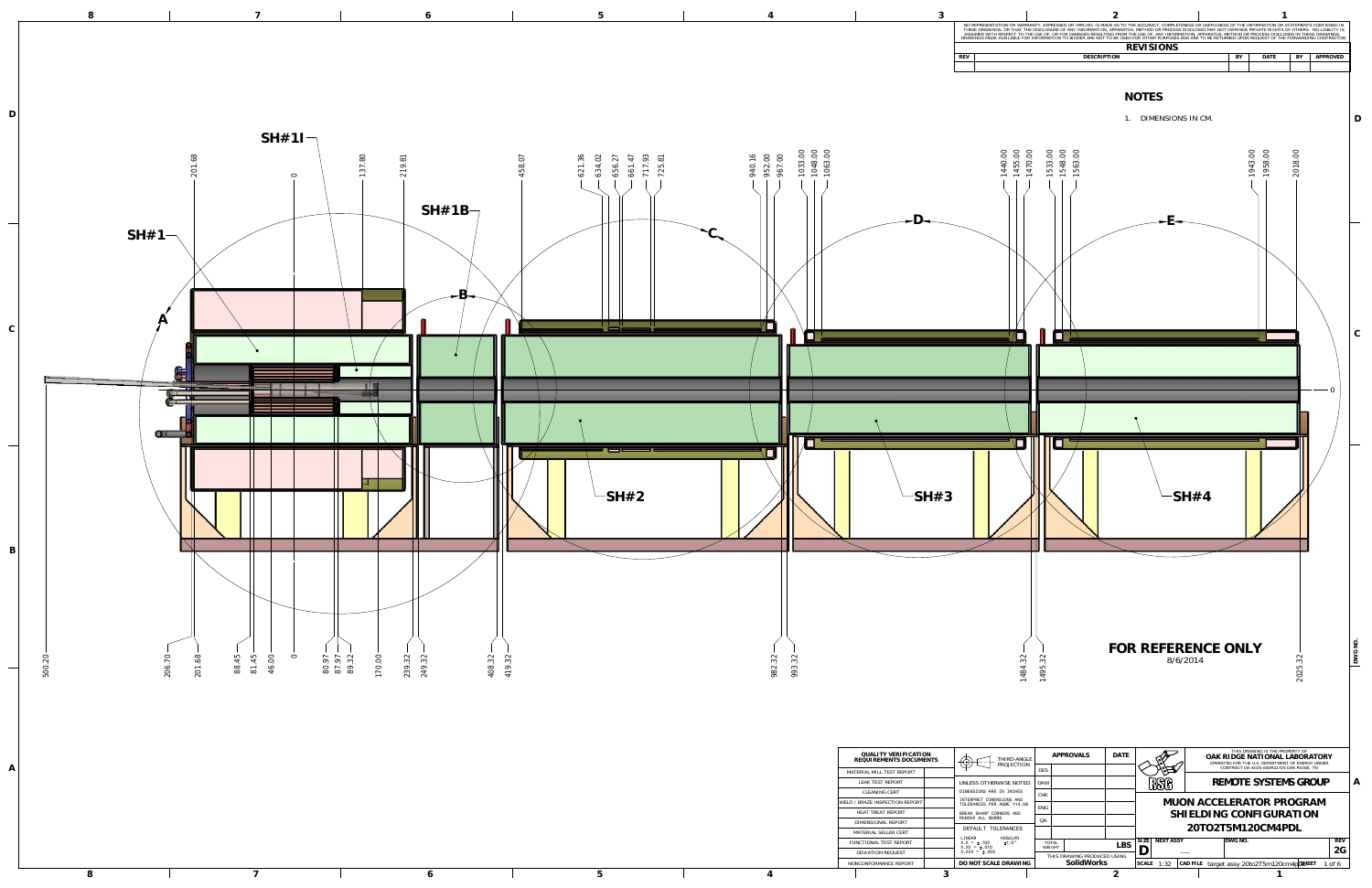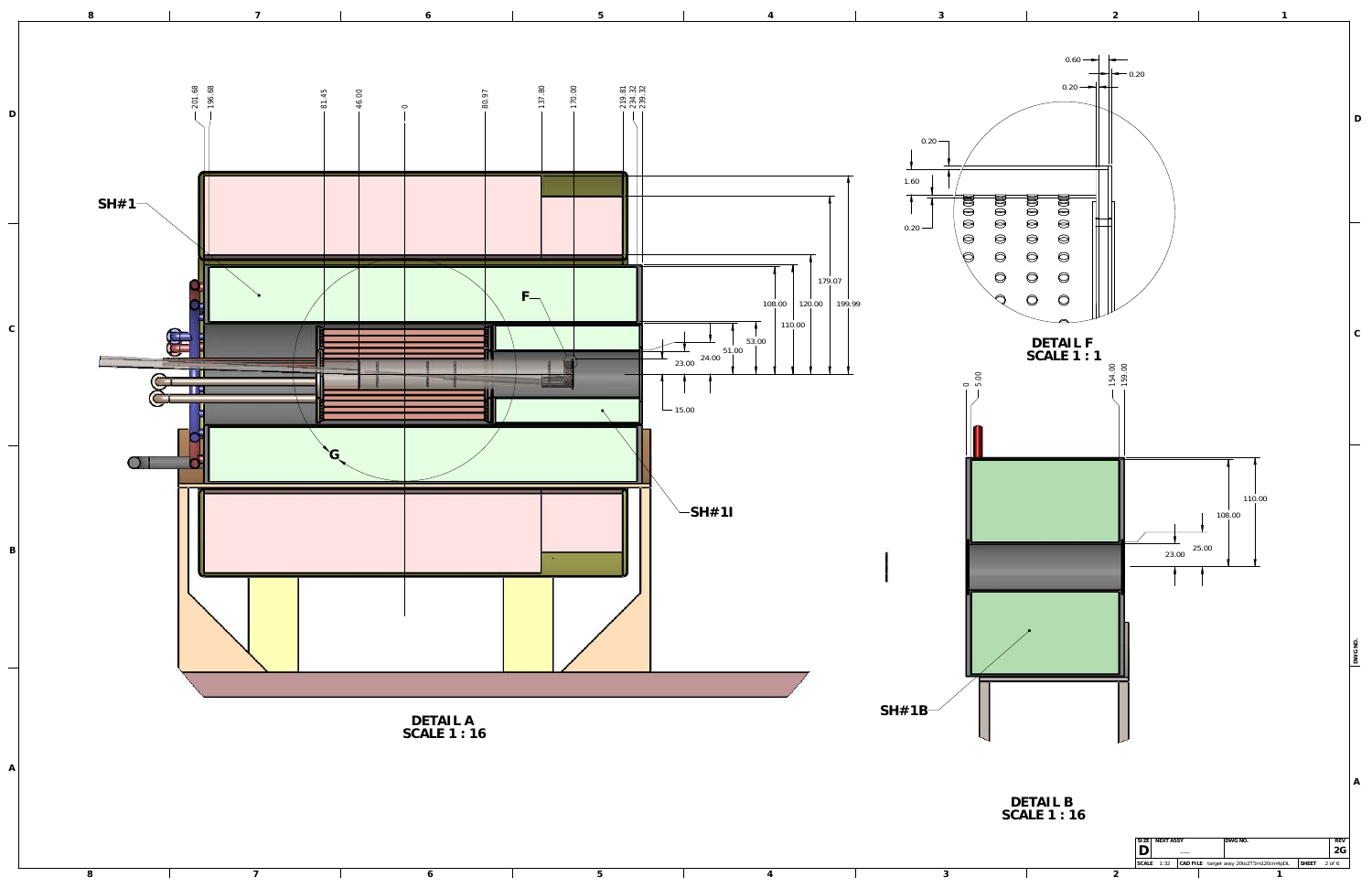

|  |  |  | SIZE NEXT ASSY | <b>DWG N.</b><br>REV     |
|--|--|--|----------------|--------------------------|
|  |  |  | ----           | 2G                       |
|  |  |  | $1000$ CH      | $2$ of 6<br><b>SHEET</b> |
|  |  |  |                |                          |

**8**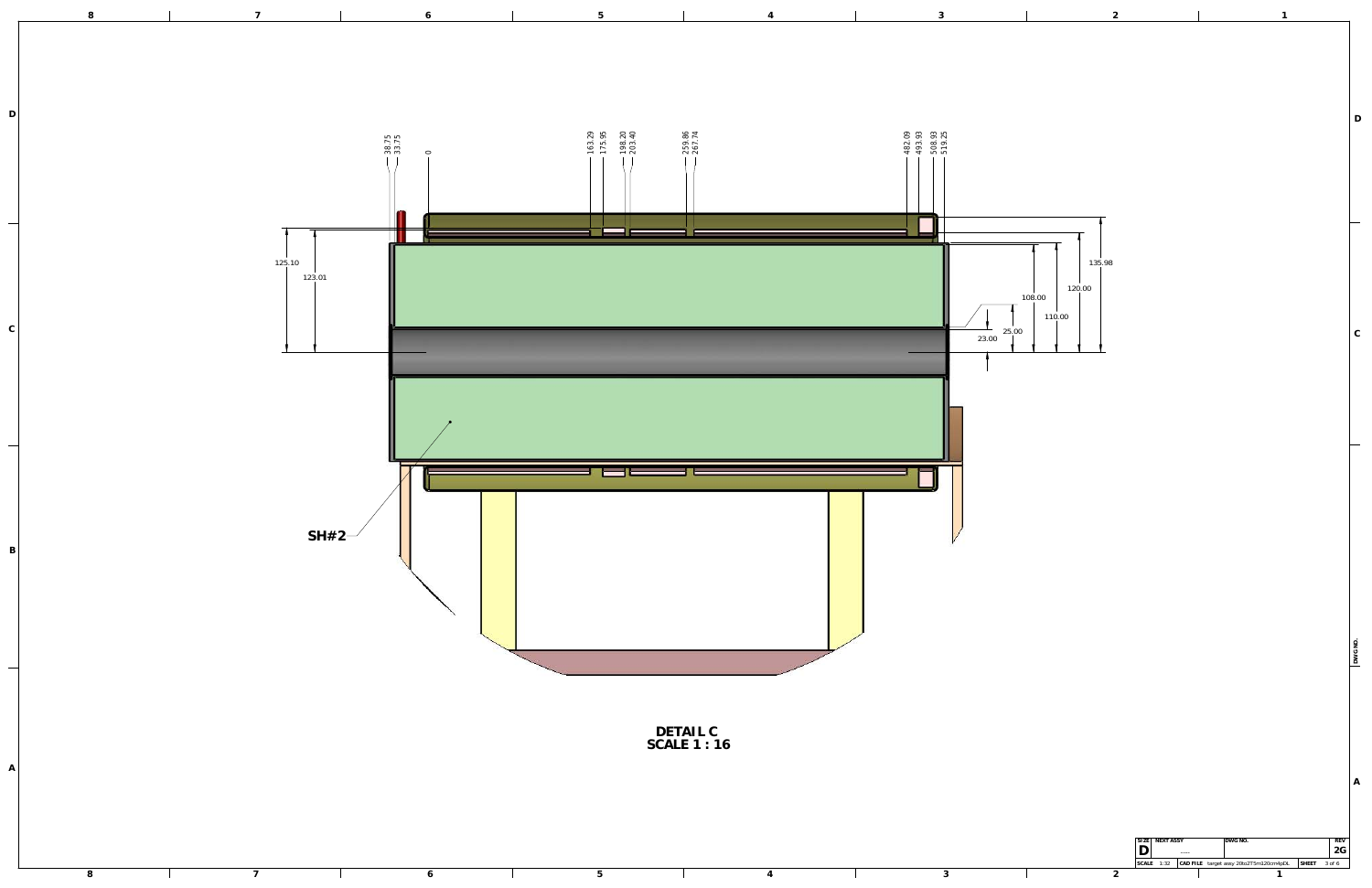

| 198.20<br>203.40<br>163.29<br>175.95 | 259.86<br>267.74 | 508.93<br>519.25<br>482.09<br>493.93 |                         |
|--------------------------------------|------------------|--------------------------------------|-------------------------|
|                                      |                  |                                      | $\overline{2}$<br>23.00 |
| ————                                 |                  |                                      |                         |
|                                      |                  |                                      |                         |

**DWG NO.**

**A**



## **SCALE 1 : 16 DETAIL C**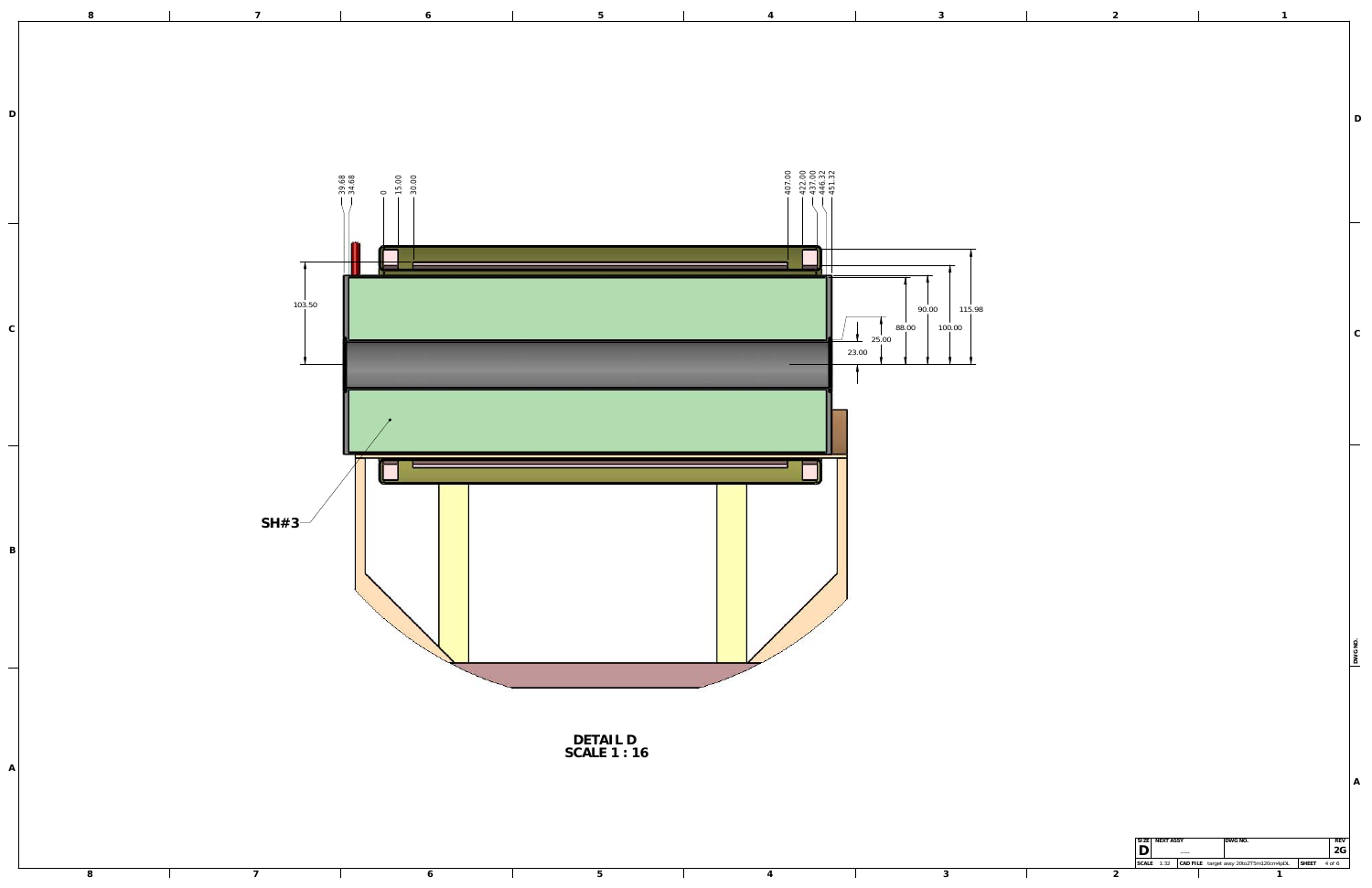| <b>SIZE</b> | <b>NEXT ASSY</b> |  |                                        | IDWG NO.     |        | <b>REV</b> |
|-------------|------------------|--|----------------------------------------|--------------|--------|------------|
|             |                  |  |                                        |              |        |            |
|             | $SCALE$ 1:32     |  | CAD FILE target assy 20to2T5m120cm4pDL | <b>SHEET</b> | 4 of 6 |            |
|             |                  |  |                                        |              |        |            |

**A**



**D**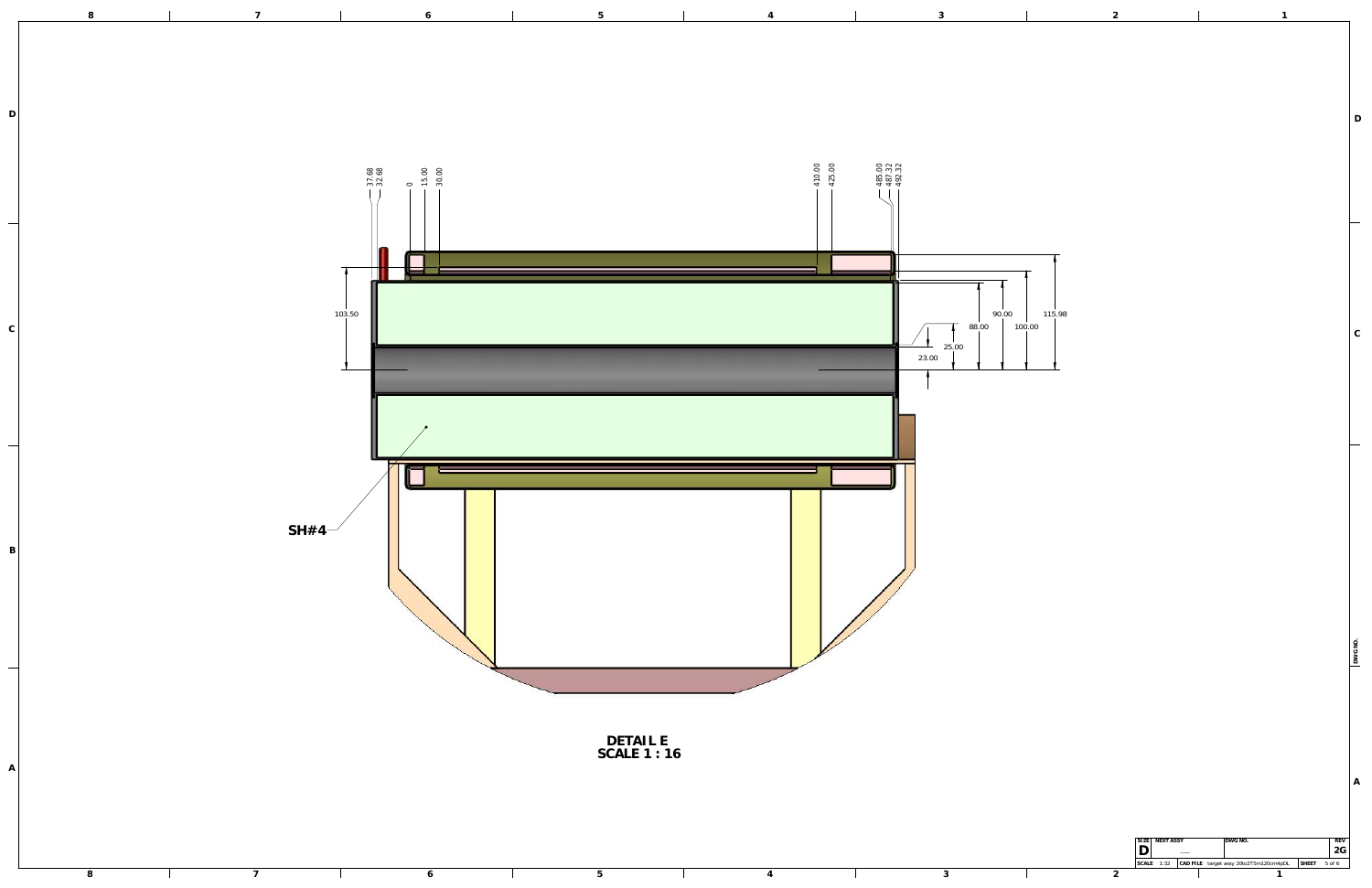